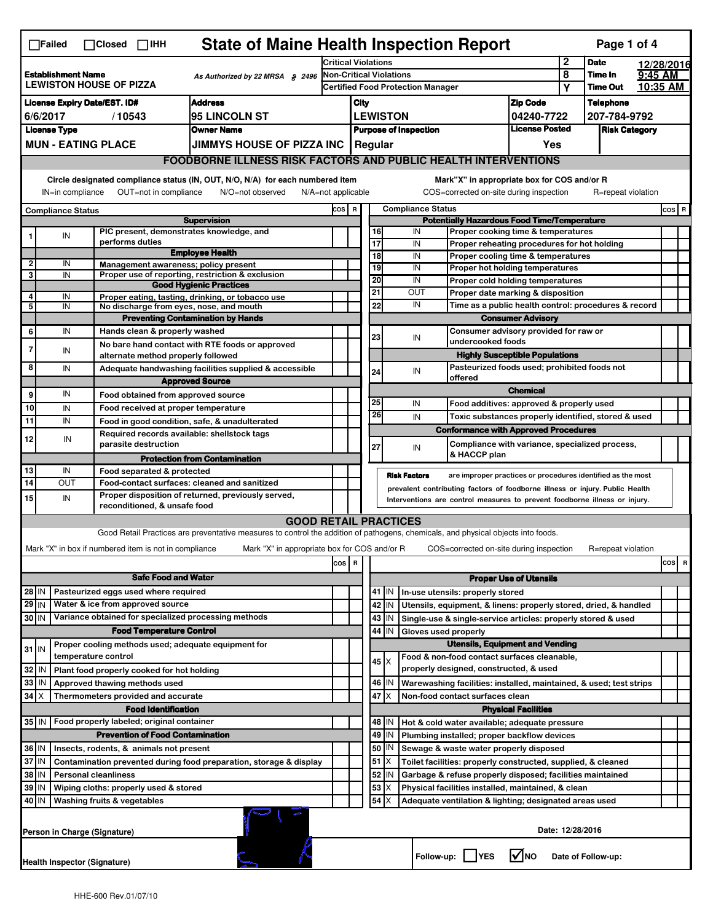|                                                                                                | <b>State of Maine Health Inspection Report</b><br>Page 1 of 4<br>$\Box$ Failed<br>$\Box$ Closed $\Box$ IHH                                                             |                     |                                                                            |                                                                                                                                   |       |                                                                                         |                                                                                         |           |                                                                 |                 |                                                                                                    |                            |                     |                      |         |           |
|------------------------------------------------------------------------------------------------|------------------------------------------------------------------------------------------------------------------------------------------------------------------------|---------------------|----------------------------------------------------------------------------|-----------------------------------------------------------------------------------------------------------------------------------|-------|-----------------------------------------------------------------------------------------|-----------------------------------------------------------------------------------------|-----------|-----------------------------------------------------------------|-----------------|----------------------------------------------------------------------------------------------------|----------------------------|---------------------|----------------------|---------|-----------|
| <b>Establishment Name</b><br>As Authorized by 22 MRSA § 2496<br><b>LEWISTON HOUSE OF PIZZA</b> |                                                                                                                                                                        |                     | <b>Critical Violations</b>                                                 |                                                                                                                                   |       |                                                                                         |                                                                                         |           | $\mathbf 2$                                                     | <b>Date</b>     |                                                                                                    | 12/28/2016                 |                     |                      |         |           |
|                                                                                                |                                                                                                                                                                        |                     | <b>Non-Critical Violations</b><br><b>Certified Food Protection Manager</b> |                                                                                                                                   |       |                                                                                         |                                                                                         |           |                                                                 | 8<br>Υ          | Time In<br><b>Time Out</b>                                                                         |                            | 9:45 AM<br>10:35 AM |                      |         |           |
|                                                                                                | <b>Address</b><br><b>License Expiry Date/EST. ID#</b>                                                                                                                  |                     |                                                                            |                                                                                                                                   |       | City                                                                                    |                                                                                         |           |                                                                 | <b>Zip Code</b> |                                                                                                    |                            |                     | <b>Telephone</b>     |         |           |
|                                                                                                | 6/6/2017<br>95 LINCOLN ST<br>/10543                                                                                                                                    |                     |                                                                            |                                                                                                                                   |       |                                                                                         |                                                                                         |           | <b>LEWISTON</b>                                                 |                 |                                                                                                    | 04240-7722                 |                     | 207-784-9792         |         |           |
|                                                                                                | <b>License Type</b><br><b>Owner Name</b>                                                                                                                               |                     |                                                                            |                                                                                                                                   |       |                                                                                         | <b>Purpose of Inspection</b>                                                            |           |                                                                 |                 | <b>License Posted</b>                                                                              |                            |                     | <b>Risk Category</b> |         |           |
|                                                                                                | <b>MUN - EATING PLACE</b>                                                                                                                                              |                     |                                                                            | <b>JIMMYS HOUSE OF PIZZA INC</b>                                                                                                  |       | Regular<br>Yes                                                                          |                                                                                         |           |                                                                 |                 |                                                                                                    |                            |                     |                      |         |           |
|                                                                                                |                                                                                                                                                                        |                     |                                                                            | <b>FOODBORNE ILLNESS RISK FACTORS AND PUBLIC HEALTH INTERVENTIONS</b>                                                             |       |                                                                                         |                                                                                         |           |                                                                 |                 |                                                                                                    |                            |                     |                      |         |           |
|                                                                                                | Circle designated compliance status (IN, OUT, N/O, N/A) for each numbered item<br>Mark"X" in appropriate box for COS and/or R                                          |                     |                                                                            |                                                                                                                                   |       |                                                                                         |                                                                                         |           |                                                                 |                 |                                                                                                    |                            |                     |                      |         |           |
|                                                                                                | OUT=not in compliance<br>IN=in compliance<br>N/O=not observed                                                                                                          |                     |                                                                            |                                                                                                                                   |       |                                                                                         | COS=corrected on-site during inspection<br>$N/A = not$ applicable<br>R=repeat violation |           |                                                                 |                 |                                                                                                    |                            |                     |                      |         |           |
|                                                                                                | <b>Compliance Status</b>                                                                                                                                               |                     |                                                                            | <b>Supervision</b>                                                                                                                |       | COS R<br><b>Compliance Status</b><br><b>Potentially Hazardous Food Time/Temperature</b> |                                                                                         |           |                                                                 |                 |                                                                                                    |                            |                     |                      | $cos$ R |           |
|                                                                                                | IN                                                                                                                                                                     |                     |                                                                            | PIC present, demonstrates knowledge, and                                                                                          |       |                                                                                         |                                                                                         | 16        |                                                                 | IN              | Proper cooking time & temperatures                                                                 |                            |                     |                      |         |           |
|                                                                                                |                                                                                                                                                                        |                     | performs duties                                                            |                                                                                                                                   |       |                                                                                         |                                                                                         | 17        |                                                                 | IN              | Proper reheating procedures for hot holding                                                        |                            |                     |                      |         |           |
| $\mathbf{2}$                                                                                   | IN                                                                                                                                                                     |                     | Management awareness; policy present                                       | <b>Employee Health</b>                                                                                                            |       |                                                                                         |                                                                                         | 18        |                                                                 | IN              | Proper cooling time & temperatures                                                                 |                            |                     |                      |         |           |
| 3                                                                                              | IN                                                                                                                                                                     |                     |                                                                            | Proper use of reporting, restriction & exclusion                                                                                  |       |                                                                                         |                                                                                         | 19<br>20  |                                                                 | IN<br>IN        | <b>Proper hot holding temperatures</b><br>Proper cold holding temperatures                         |                            |                     |                      |         |           |
| 4                                                                                              |                                                                                                                                                                        |                     |                                                                            | <b>Good Hygienic Practices</b>                                                                                                    |       |                                                                                         |                                                                                         | 21        |                                                                 | OUT             | Proper date marking & disposition                                                                  |                            |                     |                      |         |           |
| 5                                                                                              | IN<br>IN                                                                                                                                                               |                     | No discharge from eyes, nose, and mouth                                    | Proper eating, tasting, drinking, or tobacco use                                                                                  |       |                                                                                         |                                                                                         | 22        |                                                                 | IN              | Time as a public health control: procedures & record                                               |                            |                     |                      |         |           |
|                                                                                                |                                                                                                                                                                        |                     |                                                                            | <b>Preventing Contamination by Hands</b>                                                                                          |       |                                                                                         |                                                                                         |           |                                                                 |                 | <b>Consumer Advisory</b>                                                                           |                            |                     |                      |         |           |
| 6                                                                                              | IN                                                                                                                                                                     |                     | Hands clean & properly washed                                              |                                                                                                                                   |       |                                                                                         |                                                                                         | 23        |                                                                 | IN              | Consumer advisory provided for raw or<br>undercooked foods                                         |                            |                     |                      |         |           |
|                                                                                                | IN                                                                                                                                                                     |                     | alternate method properly followed                                         | No bare hand contact with RTE foods or approved                                                                                   |       |                                                                                         |                                                                                         |           |                                                                 |                 | <b>Highly Susceptible Populations</b>                                                              |                            |                     |                      |         |           |
| 8                                                                                              | IN                                                                                                                                                                     |                     |                                                                            | Adequate handwashing facilities supplied & accessible                                                                             |       |                                                                                         |                                                                                         | 24        |                                                                 | IN              | Pasteurized foods used; prohibited foods not                                                       |                            |                     |                      |         |           |
|                                                                                                |                                                                                                                                                                        |                     |                                                                            | <b>Approved Source</b>                                                                                                            |       |                                                                                         |                                                                                         |           |                                                                 |                 | offered                                                                                            |                            |                     |                      |         |           |
| 9                                                                                              | IN                                                                                                                                                                     |                     | Food obtained from approved source                                         |                                                                                                                                   |       |                                                                                         |                                                                                         |           |                                                                 |                 |                                                                                                    | <b>Chemical</b>            |                     |                      |         |           |
| 10                                                                                             | IN                                                                                                                                                                     |                     | Food received at proper temperature                                        |                                                                                                                                   |       |                                                                                         |                                                                                         | 25<br>26  |                                                                 | IN              | Food additives: approved & properly used                                                           |                            |                     |                      |         |           |
| 11                                                                                             | IN                                                                                                                                                                     |                     |                                                                            | Food in good condition, safe, & unadulterated                                                                                     |       |                                                                                         |                                                                                         |           |                                                                 | IN              | Toxic substances properly identified, stored & used<br><b>Conformance with Approved Procedures</b> |                            |                     |                      |         |           |
| 12                                                                                             | IN                                                                                                                                                                     |                     | parasite destruction                                                       | Required records available: shellstock tags                                                                                       |       |                                                                                         |                                                                                         | 27        |                                                                 | IN              | Compliance with variance, specialized process,                                                     |                            |                     |                      |         |           |
|                                                                                                |                                                                                                                                                                        |                     |                                                                            | <b>Protection from Contamination</b>                                                                                              |       |                                                                                         |                                                                                         |           |                                                                 |                 | & HACCP plan                                                                                       |                            |                     |                      |         |           |
| 13                                                                                             | IN                                                                                                                                                                     |                     | Food separated & protected                                                 |                                                                                                                                   |       |                                                                                         |                                                                                         |           | <b>Risk Factors</b>                                             |                 | are improper practices or procedures identified as the most                                        |                            |                     |                      |         |           |
| 14                                                                                             | OUT                                                                                                                                                                    |                     |                                                                            | Food-contact surfaces: cleaned and sanitized                                                                                      |       |                                                                                         |                                                                                         |           |                                                                 |                 | prevalent contributing factors of foodborne illness or injury. Public Health                       |                            |                     |                      |         |           |
| 15                                                                                             | Proper disposition of returned, previously served,<br>IN<br>Interventions are control measures to prevent foodborne illness or injury.<br>reconditioned, & unsafe food |                     |                                                                            |                                                                                                                                   |       |                                                                                         |                                                                                         |           |                                                                 |                 |                                                                                                    |                            |                     |                      |         |           |
|                                                                                                |                                                                                                                                                                        |                     |                                                                            | <b>GOOD RETAIL PRACTICES</b>                                                                                                      |       |                                                                                         |                                                                                         |           |                                                                 |                 |                                                                                                    |                            |                     |                      |         |           |
|                                                                                                |                                                                                                                                                                        |                     |                                                                            | Good Retail Practices are preventative measures to control the addition of pathogens, chemicals, and physical objects into foods. |       |                                                                                         |                                                                                         |           |                                                                 |                 |                                                                                                    |                            |                     |                      |         |           |
|                                                                                                |                                                                                                                                                                        |                     | Mark "X" in box if numbered item is not in compliance                      | Mark "X" in appropriate box for COS and/or R                                                                                      |       |                                                                                         |                                                                                         |           |                                                                 |                 | COS=corrected on-site during inspection                                                            |                            |                     | R=repeat violation   |         |           |
|                                                                                                |                                                                                                                                                                        |                     |                                                                            |                                                                                                                                   | COS R |                                                                                         |                                                                                         |           |                                                                 |                 |                                                                                                    |                            |                     |                      |         | cosl<br>R |
|                                                                                                | <b>Safe Food and Water</b>                                                                                                                                             |                     |                                                                            |                                                                                                                                   |       |                                                                                         | <b>Proper Use of Utensils</b><br>41   IN<br>In-use utensils: properly stored            |           |                                                                 |                 |                                                                                                    |                            |                     |                      |         |           |
| $28$ IN<br>$29$ IN                                                                             |                                                                                                                                                                        |                     | Pasteurized eggs used where required<br>Water & ice from approved source   |                                                                                                                                   |       |                                                                                         |                                                                                         | 42<br>IN  |                                                                 |                 | Utensils, equipment, & linens: properly stored, dried, & handled                                   |                            |                     |                      |         |           |
| 30 IN                                                                                          |                                                                                                                                                                        |                     |                                                                            | Variance obtained for specialized processing methods                                                                              |       |                                                                                         |                                                                                         | 43        | IN                                                              |                 | Single-use & single-service articles: properly stored & used                                       |                            |                     |                      |         |           |
|                                                                                                |                                                                                                                                                                        |                     | <b>Food Temperature Control</b>                                            |                                                                                                                                   |       |                                                                                         |                                                                                         | 44        | IN                                                              |                 | Gloves used properly                                                                               |                            |                     |                      |         |           |
| $31$ IN                                                                                        |                                                                                                                                                                        |                     |                                                                            | Proper cooling methods used; adequate equipment for                                                                               |       |                                                                                         | <b>Utensils, Equipment and Vending</b>                                                  |           |                                                                 |                 |                                                                                                    |                            |                     |                      |         |           |
|                                                                                                |                                                                                                                                                                        | temperature control |                                                                            |                                                                                                                                   |       |                                                                                         |                                                                                         | 45   X    |                                                                 |                 | Food & non-food contact surfaces cleanable,                                                        |                            |                     |                      |         |           |
| 32                                                                                             | IN                                                                                                                                                                     |                     | Plant food properly cooked for hot holding                                 |                                                                                                                                   |       |                                                                                         |                                                                                         |           |                                                                 |                 | properly designed, constructed, & used                                                             |                            |                     |                      |         |           |
| 33                                                                                             | IN                                                                                                                                                                     |                     | Approved thawing methods used                                              |                                                                                                                                   |       |                                                                                         |                                                                                         | 46<br>IN  |                                                                 |                 | Warewashing facilities: installed, maintained, & used; test strips                                 |                            |                     |                      |         |           |
| $34$ $\times$                                                                                  |                                                                                                                                                                        |                     | Thermometers provided and accurate                                         |                                                                                                                                   |       |                                                                                         |                                                                                         | 47        |                                                                 |                 | Non-food contact surfaces clean                                                                    |                            |                     |                      |         |           |
| 35 IN                                                                                          |                                                                                                                                                                        |                     | <b>Food Identification</b><br>Food properly labeled; original container    |                                                                                                                                   |       |                                                                                         |                                                                                         | 48   IN   |                                                                 |                 | Hot & cold water available; adequate pressure                                                      | <b>Physical Facilities</b> |                     |                      |         |           |
|                                                                                                | <b>Prevention of Food Contamination</b>                                                                                                                                |                     |                                                                            |                                                                                                                                   |       |                                                                                         |                                                                                         | 49        | IN                                                              |                 |                                                                                                    |                            |                     |                      |         |           |
| 36 IN<br>Insects, rodents, & animals not present                                               |                                                                                                                                                                        |                     |                                                                            |                                                                                                                                   |       | 50   IN                                                                                 | Plumbing installed; proper backflow devices<br>Sewage & waste water properly disposed   |           |                                                                 |                 |                                                                                                    |                            |                     |                      |         |           |
| 37 IN<br>Contamination prevented during food preparation, storage & display                    |                                                                                                                                                                        |                     |                                                                            |                                                                                                                                   |       |                                                                                         |                                                                                         | 51<br>IX. |                                                                 |                 | Toilet facilities: properly constructed, supplied, & cleaned                                       |                            |                     |                      |         |           |
| 38 IN<br><b>Personal cleanliness</b>                                                           |                                                                                                                                                                        |                     |                                                                            |                                                                                                                                   |       |                                                                                         |                                                                                         | 52        | IN<br>Garbage & refuse properly disposed; facilities maintained |                 |                                                                                                    |                            |                     |                      |         |           |
| 39 IN<br>Wiping cloths: properly used & stored                                                 |                                                                                                                                                                        |                     |                                                                            |                                                                                                                                   |       |                                                                                         |                                                                                         | 53        |                                                                 |                 | Physical facilities installed, maintained, & clean                                                 |                            |                     |                      |         |           |
|                                                                                                | 54<br>40 IN<br>Washing fruits & vegetables<br>Adequate ventilation & lighting; designated areas used                                                                   |                     |                                                                            |                                                                                                                                   |       |                                                                                         |                                                                                         |           |                                                                 |                 |                                                                                                    |                            |                     |                      |         |           |
|                                                                                                | Person in Charge (Signature)                                                                                                                                           |                     |                                                                            |                                                                                                                                   |       |                                                                                         |                                                                                         |           |                                                                 |                 |                                                                                                    |                            | Date: 12/28/2016    |                      |         |           |
|                                                                                                | Health Inspector (Signature)                                                                                                                                           |                     |                                                                            |                                                                                                                                   |       |                                                                                         |                                                                                         |           |                                                                 |                 | Follow-up:     YES                                                                                 | l√lno                      |                     | Date of Follow-up:   |         |           |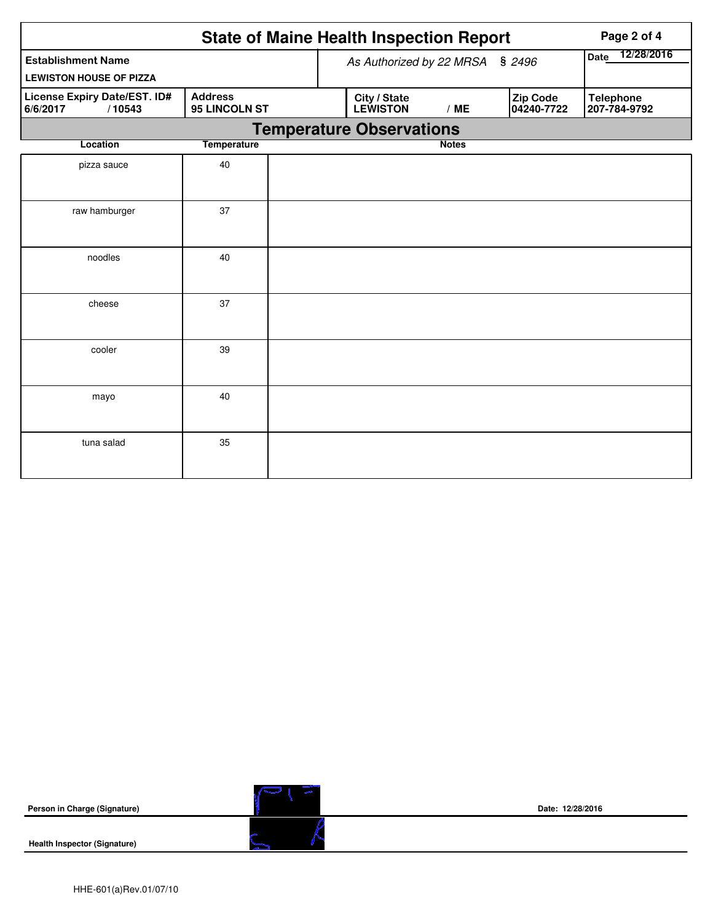|                                                             |                    |                                 | <b>State of Maine Health Inspection Report</b> | Page 2 of 4            |                                  |  |
|-------------------------------------------------------------|--------------------|---------------------------------|------------------------------------------------|------------------------|----------------------------------|--|
| <b>Establishment Name</b><br><b>LEWISTON HOUSE OF PIZZA</b> |                    |                                 | As Authorized by 22 MRSA                       | Date 12/28/2016        |                                  |  |
| License Expiry Date/EST. ID#<br>6/6/2017<br>/10543          |                    | City / State<br><b>LEWISTON</b> | /ME                                            | Zip Code<br>04240-7722 | <b>Telephone</b><br>207-784-9792 |  |
|                                                             |                    |                                 | <b>Temperature Observations</b>                |                        |                                  |  |
| Location                                                    | <b>Temperature</b> |                                 |                                                | <b>Notes</b>           |                                  |  |
| pizza sauce                                                 | 40                 |                                 |                                                |                        |                                  |  |
| raw hamburger                                               | 37                 |                                 |                                                |                        |                                  |  |
| noodles                                                     | 40                 |                                 |                                                |                        |                                  |  |
| cheese                                                      | 37                 |                                 |                                                |                        |                                  |  |
| cooler                                                      | 39                 |                                 |                                                |                        |                                  |  |
| mayo                                                        | 40                 |                                 |                                                |                        |                                  |  |
| tuna salad                                                  | 35                 |                                 |                                                |                        |                                  |  |

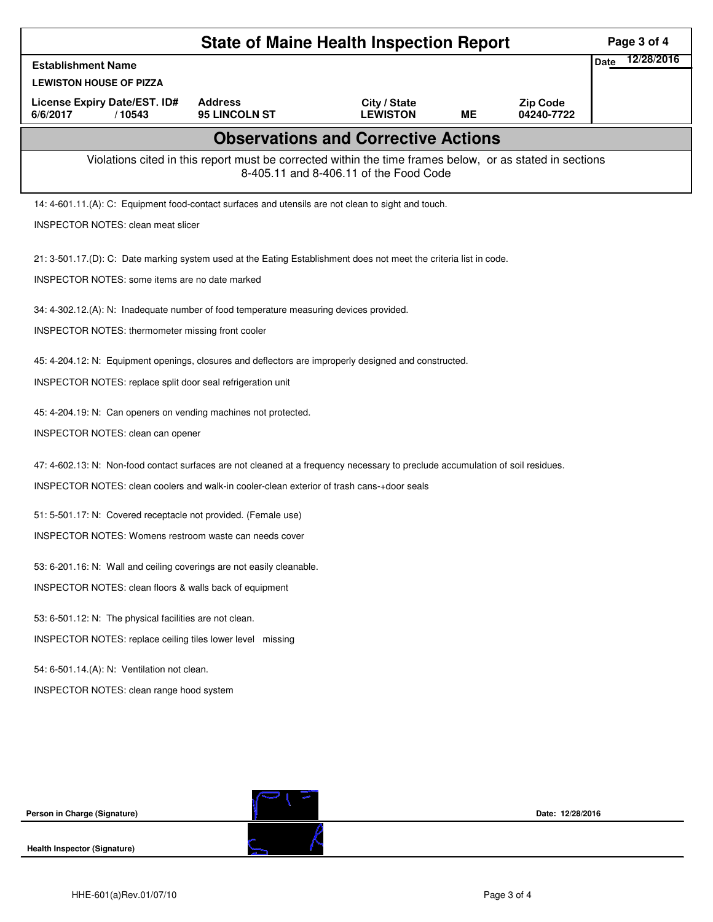| <b>State of Maine Health Inspection Report</b>                                                                                 |                                                                                                          |                                            |           |                               |             | Page 3 of 4 |
|--------------------------------------------------------------------------------------------------------------------------------|----------------------------------------------------------------------------------------------------------|--------------------------------------------|-----------|-------------------------------|-------------|-------------|
| <b>Establishment Name</b>                                                                                                      |                                                                                                          |                                            |           |                               | <b>Date</b> | 12/28/2016  |
| <b>LEWISTON HOUSE OF PIZZA</b>                                                                                                 |                                                                                                          |                                            |           |                               |             |             |
| License Expiry Date/EST. ID#<br>6/6/2017<br>/10543                                                                             | <b>Address</b><br>95 LINCOLN ST                                                                          | City / State<br><b>LEWISTON</b>            | <b>ME</b> | <b>Zip Code</b><br>04240-7722 |             |             |
|                                                                                                                                |                                                                                                          | <b>Observations and Corrective Actions</b> |           |                               |             |             |
|                                                                                                                                | Violations cited in this report must be corrected within the time frames below, or as stated in sections | 8-405.11 and 8-406.11 of the Food Code     |           |                               |             |             |
| 14: 4-601.11.(A): C: Equipment food-contact surfaces and utensils are not clean to sight and touch.                            |                                                                                                          |                                            |           |                               |             |             |
| <b>INSPECTOR NOTES: clean meat slicer</b>                                                                                      |                                                                                                          |                                            |           |                               |             |             |
| 21: 3-501.17.(D): C: Date marking system used at the Eating Establishment does not meet the criteria list in code.             |                                                                                                          |                                            |           |                               |             |             |
| INSPECTOR NOTES: some items are no date marked                                                                                 |                                                                                                          |                                            |           |                               |             |             |
| 34: 4-302.12.(A): N: Inadequate number of food temperature measuring devices provided.                                         |                                                                                                          |                                            |           |                               |             |             |
| INSPECTOR NOTES: thermometer missing front cooler                                                                              |                                                                                                          |                                            |           |                               |             |             |
| 45: 4-204.12: N: Equipment openings, closures and deflectors are improperly designed and constructed.                          |                                                                                                          |                                            |           |                               |             |             |
| INSPECTOR NOTES: replace split door seal refrigeration unit                                                                    |                                                                                                          |                                            |           |                               |             |             |
| 45: 4-204.19: N: Can openers on vending machines not protected.                                                                |                                                                                                          |                                            |           |                               |             |             |
| INSPECTOR NOTES: clean can opener                                                                                              |                                                                                                          |                                            |           |                               |             |             |
| 47: 4-602.13: N: Non-food contact surfaces are not cleaned at a frequency necessary to preclude accumulation of soil residues. |                                                                                                          |                                            |           |                               |             |             |
| INSPECTOR NOTES: clean coolers and walk-in cooler-clean exterior of trash cans-+door seals                                     |                                                                                                          |                                            |           |                               |             |             |
| 51: 5-501.17: N: Covered receptacle not provided. (Female use)                                                                 |                                                                                                          |                                            |           |                               |             |             |
| <b>INSPECTOR NOTES: Womens restroom waste can needs cover</b>                                                                  |                                                                                                          |                                            |           |                               |             |             |
| 53: 6-201.16: N: Wall and ceiling coverings are not easily cleanable.                                                          |                                                                                                          |                                            |           |                               |             |             |
| INSPECTOR NOTES: clean floors & walls back of equipment                                                                        |                                                                                                          |                                            |           |                               |             |             |
| 53: 6-501.12: N: The physical facilities are not clean.                                                                        |                                                                                                          |                                            |           |                               |             |             |
| INSPECTOR NOTES: replace ceiling tiles lower level missing                                                                     |                                                                                                          |                                            |           |                               |             |             |
| 54: 6-501.14.(A): N: Ventilation not clean.                                                                                    |                                                                                                          |                                            |           |                               |             |             |
| INSPECTOR NOTES: clean range hood system                                                                                       |                                                                                                          |                                            |           |                               |             |             |
|                                                                                                                                |                                                                                                          |                                            |           |                               |             |             |
|                                                                                                                                |                                                                                                          |                                            |           |                               |             |             |
|                                                                                                                                |                                                                                                          |                                            |           |                               |             |             |
|                                                                                                                                |                                                                                                          |                                            |           |                               |             |             |
| Person in Charge (Signature)                                                                                                   |                                                                                                          |                                            |           | Date: 12/28/2016              |             |             |
| <b>Health Inspector (Signature)</b>                                                                                            |                                                                                                          |                                            |           |                               |             |             |